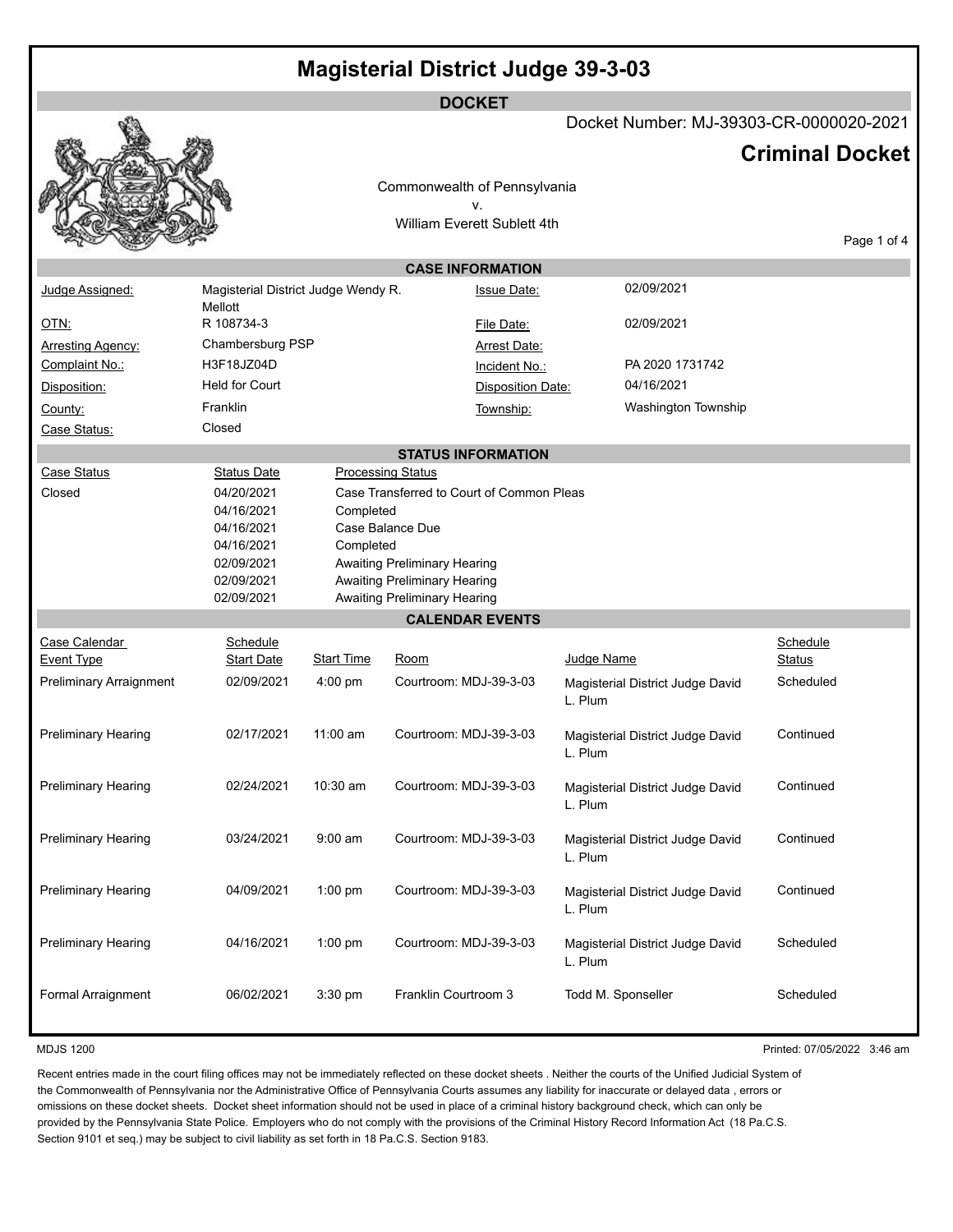# **Magisterial District Judge 39-3-03**

|                            |                                     |                   |                                                              | <b>DOCKET</b>                             |            |                                         |                           |             |
|----------------------------|-------------------------------------|-------------------|--------------------------------------------------------------|-------------------------------------------|------------|-----------------------------------------|---------------------------|-------------|
|                            |                                     |                   |                                                              |                                           |            | Docket Number: MJ-39303-CR-0000020-2021 |                           |             |
|                            |                                     |                   |                                                              |                                           |            |                                         | <b>Criminal Docket</b>    |             |
|                            |                                     |                   |                                                              |                                           |            |                                         |                           |             |
|                            |                                     |                   |                                                              | Commonwealth of Pennsylvania              |            |                                         |                           |             |
|                            |                                     |                   |                                                              | ٧.<br>William Everett Sublett 4th         |            |                                         |                           |             |
|                            |                                     |                   |                                                              |                                           |            |                                         |                           | Page 1 of 4 |
|                            |                                     |                   |                                                              | <b>CASE INFORMATION</b>                   |            |                                         |                           |             |
| Judge Assigned:            | Magisterial District Judge Wendy R. |                   |                                                              | <b>Issue Date:</b>                        |            | 02/09/2021                              |                           |             |
|                            | Mellott                             |                   |                                                              |                                           |            |                                         |                           |             |
| <u>OTN:</u>                | R 108734-3                          |                   |                                                              | File Date:                                |            | 02/09/2021                              |                           |             |
| <b>Arresting Agency:</b>   | Chambersburg PSP                    |                   |                                                              | Arrest Date:                              |            |                                         |                           |             |
| Complaint No.:             | H3F18JZ04D                          |                   |                                                              | Incident No.:                             |            | PA 2020 1731742                         |                           |             |
| Disposition:               | <b>Held for Court</b>               |                   |                                                              | <b>Disposition Date:</b>                  |            | 04/16/2021                              |                           |             |
| County:                    | Franklin                            |                   |                                                              | Township:                                 |            | Washington Township                     |                           |             |
| Case Status:               | Closed                              |                   |                                                              |                                           |            |                                         |                           |             |
| <b>STATUS INFORMATION</b>  |                                     |                   |                                                              |                                           |            |                                         |                           |             |
| Case Status                | <b>Status Date</b>                  |                   | <b>Processing Status</b>                                     |                                           |            |                                         |                           |             |
| Closed                     | 04/20/2021                          |                   |                                                              | Case Transferred to Court of Common Pleas |            |                                         |                           |             |
|                            | 04/16/2021                          | Completed         |                                                              |                                           |            |                                         |                           |             |
|                            | 04/16/2021                          |                   | Case Balance Due                                             |                                           |            |                                         |                           |             |
|                            | 04/16/2021                          | Completed         |                                                              |                                           |            |                                         |                           |             |
|                            | 02/09/2021                          |                   | Awaiting Preliminary Hearing                                 |                                           |            |                                         |                           |             |
|                            | 02/09/2021<br>02/09/2021            |                   | Awaiting Preliminary Hearing<br>Awaiting Preliminary Hearing |                                           |            |                                         |                           |             |
|                            |                                     |                   |                                                              | <b>CALENDAR EVENTS</b>                    |            |                                         |                           |             |
| Case Calendar              | Schedule                            |                   |                                                              |                                           |            |                                         |                           |             |
| <b>Event Type</b>          | <u>Start Date</u>                   | <b>Start Time</b> | <u>Room</u>                                                  |                                           | Judge Name |                                         | Schedule<br><b>Status</b> |             |
|                            | 02/09/2021                          | $4:00$ pm         | Courtroom: MDJ-39-3-03                                       |                                           |            |                                         | Scheduled                 |             |
| Preliminary Arraignment    |                                     |                   |                                                              |                                           | L. Plum    | Magisterial District Judge David        |                           |             |
|                            |                                     |                   |                                                              |                                           |            |                                         |                           |             |
| <b>Preliminary Hearing</b> | 02/17/2021                          | $11:00$ am        | Courtroom: MDJ-39-3-03                                       |                                           |            | Magisterial District Judge David        | Continued                 |             |
|                            |                                     |                   |                                                              |                                           | L. Plum    |                                         |                           |             |
| <b>Preliminary Hearing</b> | 02/24/2021                          | 10:30 am          | Courtroom: MDJ-39-3-03                                       |                                           |            |                                         | Continued                 |             |
|                            |                                     |                   |                                                              |                                           | L. Plum    | Magisterial District Judge David        |                           |             |
|                            |                                     |                   |                                                              |                                           |            |                                         |                           |             |
| <b>Preliminary Hearing</b> | 03/24/2021                          | $9:00$ am         | Courtroom: MDJ-39-3-03                                       |                                           |            | Magisterial District Judge David        | Continued                 |             |
|                            |                                     |                   |                                                              |                                           | L. Plum    |                                         |                           |             |
|                            |                                     |                   |                                                              |                                           |            |                                         |                           |             |
| Preliminary Hearing        | 04/09/2021                          | $1:00$ pm         | Courtroom: MDJ-39-3-03                                       |                                           | L. Plum    | Magisterial District Judge David        | Continued                 |             |
|                            |                                     |                   |                                                              |                                           |            |                                         |                           |             |
| Preliminary Hearing        | 04/16/2021                          | $1:00$ pm         | Courtroom: MDJ-39-3-03                                       |                                           |            | Magisterial District Judge David        | Scheduled                 |             |
|                            |                                     |                   |                                                              |                                           | L. Plum    |                                         |                           |             |
|                            |                                     |                   |                                                              |                                           |            |                                         |                           |             |
| Formal Arraignment         | 06/02/2021                          | 3:30 pm           | Franklin Courtroom 3                                         |                                           |            | Todd M. Sponseller                      | Scheduled                 |             |
|                            |                                     |                   |                                                              |                                           |            |                                         |                           |             |

MDJS 1200 Printed: 07/05/2022 3:46 am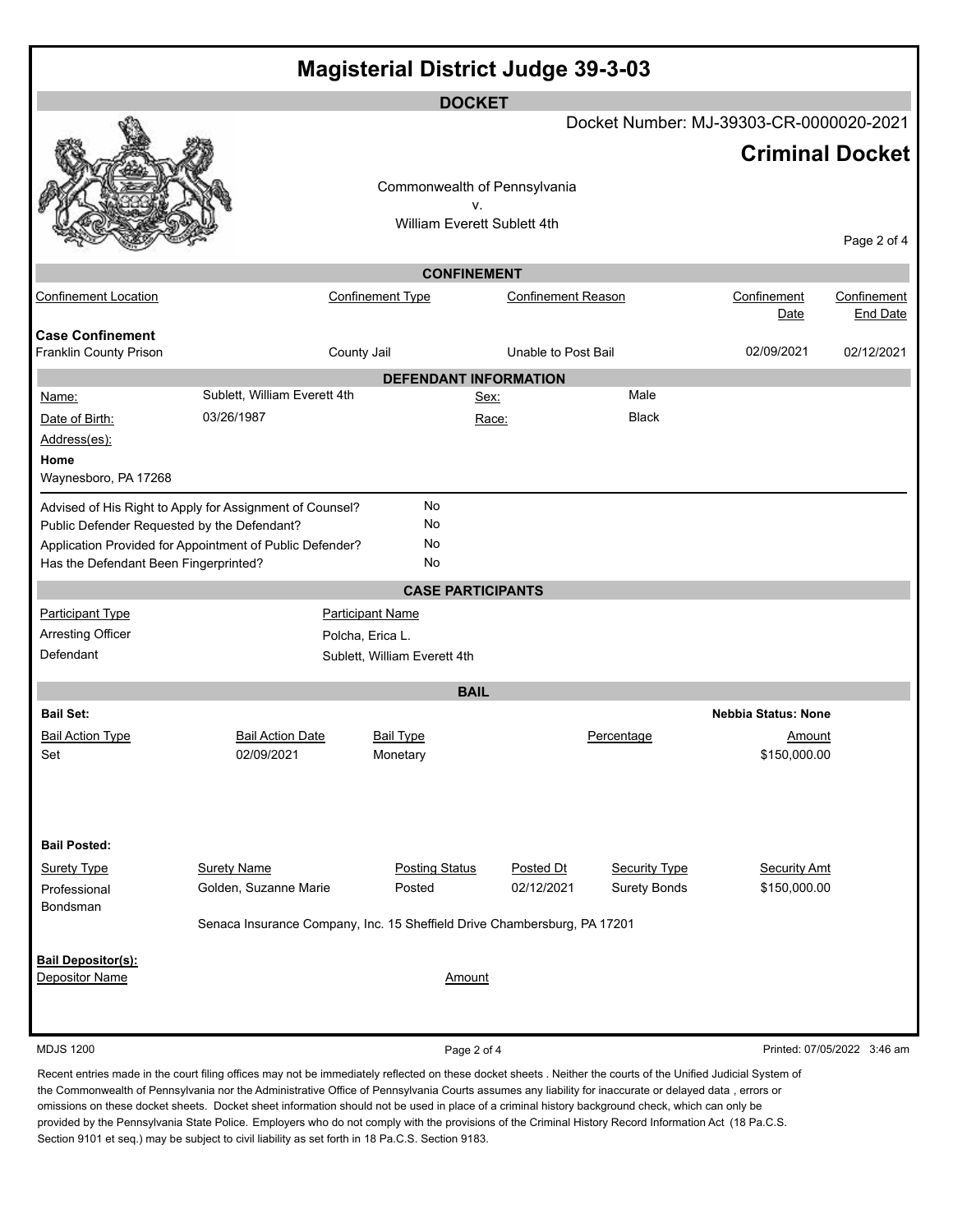|                                                   |                                                                          | <b>Magisterial District Judge 39-3-03</b> |                           |                      |                                         |                             |  |
|---------------------------------------------------|--------------------------------------------------------------------------|-------------------------------------------|---------------------------|----------------------|-----------------------------------------|-----------------------------|--|
|                                                   |                                                                          | <b>DOCKET</b>                             |                           |                      |                                         |                             |  |
|                                                   |                                                                          |                                           |                           |                      | Docket Number: MJ-39303-CR-0000020-2021 |                             |  |
|                                                   |                                                                          |                                           |                           |                      | <b>Criminal Docket</b>                  |                             |  |
|                                                   |                                                                          | Commonwealth of Pennsylvania              |                           |                      |                                         |                             |  |
|                                                   |                                                                          | v.<br>William Everett Sublett 4th         |                           |                      |                                         |                             |  |
|                                                   |                                                                          |                                           |                           |                      |                                         | Page 2 of 4                 |  |
|                                                   |                                                                          | <b>CONFINEMENT</b>                        |                           |                      |                                         |                             |  |
| <b>Confinement Location</b>                       |                                                                          | <b>Confinement Type</b>                   | <b>Confinement Reason</b> |                      | Confinement                             | Confinement                 |  |
|                                                   |                                                                          |                                           |                           |                      | Date                                    | <b>End Date</b>             |  |
| <b>Case Confinement</b><br>Franklin County Prison |                                                                          | County Jail                               | Unable to Post Bail       |                      | 02/09/2021                              | 02/12/2021                  |  |
|                                                   |                                                                          | <b>DEFENDANT INFORMATION</b>              |                           |                      |                                         |                             |  |
| Name:                                             | Sublett, William Everett 4th                                             | Sex:                                      |                           | Male                 |                                         |                             |  |
| Date of Birth:                                    | 03/26/1987                                                               |                                           | Race:                     | <b>Black</b>         |                                         |                             |  |
| Address(es):                                      |                                                                          |                                           |                           |                      |                                         |                             |  |
| Home<br>Waynesboro, PA 17268                      |                                                                          |                                           |                           |                      |                                         |                             |  |
|                                                   | Advised of His Right to Apply for Assignment of Counsel?                 | No                                        |                           |                      |                                         |                             |  |
| Public Defender Requested by the Defendant?       |                                                                          | No                                        |                           |                      |                                         |                             |  |
|                                                   | Application Provided for Appointment of Public Defender?                 | No                                        |                           |                      |                                         |                             |  |
| Has the Defendant Been Fingerprinted?             |                                                                          | No                                        |                           |                      |                                         |                             |  |
|                                                   |                                                                          | <b>CASE PARTICIPANTS</b>                  |                           |                      |                                         |                             |  |
| <b>Participant Type</b>                           | <b>Participant Name</b>                                                  |                                           |                           |                      |                                         |                             |  |
| Arresting Officer<br>Defendant                    | Polcha, Erica L.<br>Sublett, William Everett 4th                         |                                           |                           |                      |                                         |                             |  |
|                                                   |                                                                          |                                           |                           |                      |                                         |                             |  |
|                                                   |                                                                          | <b>BAIL</b>                               |                           |                      |                                         |                             |  |
| <b>Bail Set:</b>                                  |                                                                          |                                           |                           |                      | <b>Nebbia Status: None</b>              |                             |  |
| <b>Bail Action Type</b><br>Set                    | <b>Bail Action Date</b><br>02/09/2021                                    | <b>Bail Type</b><br>Monetary              |                           | Percentage           | Amount<br>\$150,000.00                  |                             |  |
|                                                   |                                                                          |                                           |                           |                      |                                         |                             |  |
|                                                   |                                                                          |                                           |                           |                      |                                         |                             |  |
|                                                   |                                                                          |                                           |                           |                      |                                         |                             |  |
| <b>Bail Posted:</b>                               |                                                                          |                                           |                           |                      |                                         |                             |  |
| <b>Surety Type</b>                                | <b>Surety Name</b>                                                       | <b>Posting Status</b>                     | Posted Dt                 | <b>Security Type</b> | <b>Security Amt</b>                     |                             |  |
| Professional<br>Bondsman                          | Golden, Suzanne Marie                                                    | Posted                                    | 02/12/2021                | <b>Surety Bonds</b>  | \$150,000.00                            |                             |  |
|                                                   | Senaca Insurance Company, Inc. 15 Sheffield Drive Chambersburg, PA 17201 |                                           |                           |                      |                                         |                             |  |
| <b>Bail Depositor(s):</b>                         |                                                                          |                                           |                           |                      |                                         |                             |  |
| Depositor Name                                    |                                                                          | <b>Amount</b>                             |                           |                      |                                         |                             |  |
|                                                   |                                                                          |                                           |                           |                      |                                         |                             |  |
|                                                   |                                                                          |                                           |                           |                      |                                         |                             |  |
| <b>MDJS 1200</b>                                  |                                                                          | Page 2 of 4                               |                           |                      |                                         | Printed: 07/05/2022 3:46 am |  |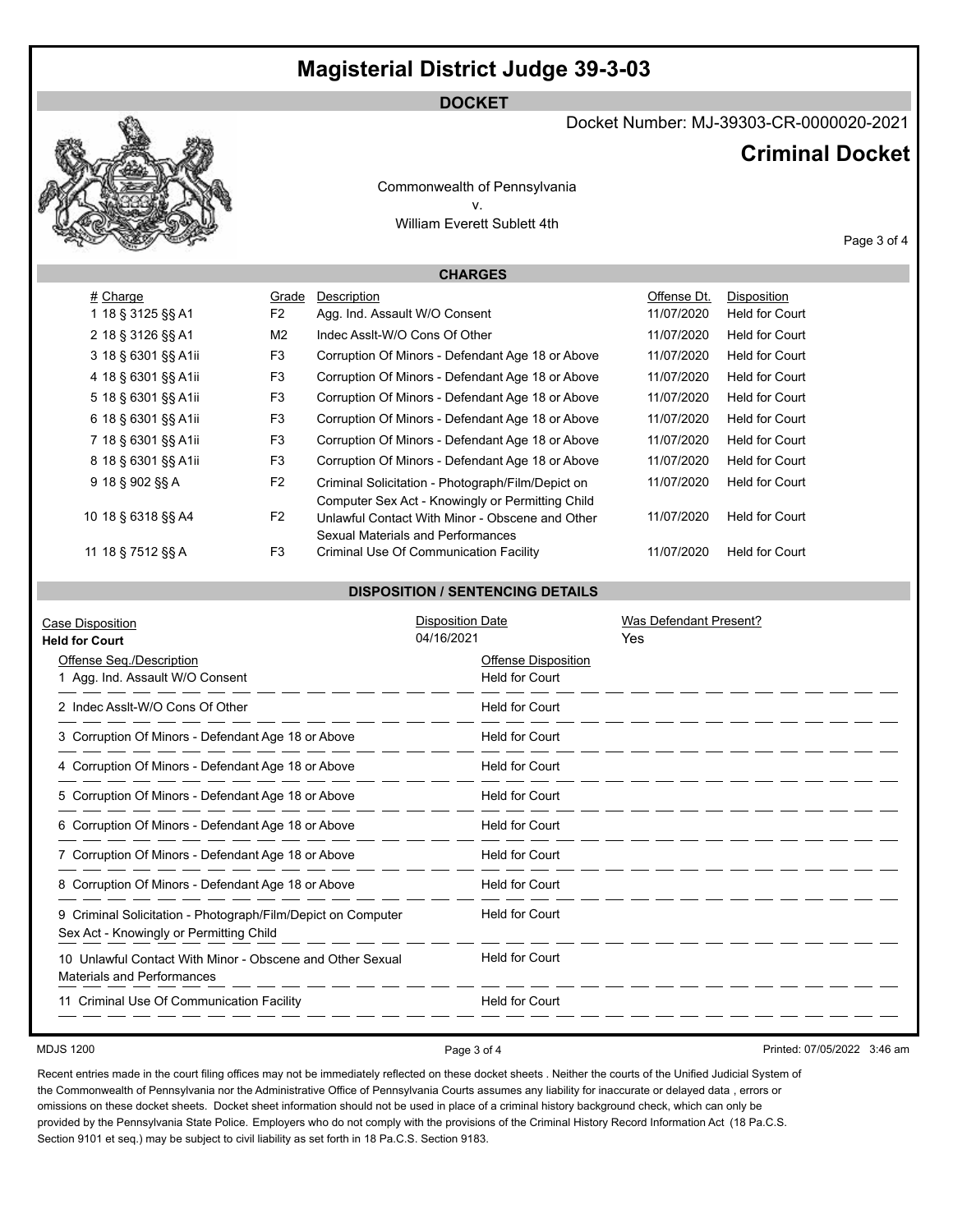## **Magisterial District Judge 39-3-03**

### **DOCKET**



Docket Number: MJ-39303-CR-0000020-2021

## **Criminal Docket**

Commonwealth of Pennsylvania v. William Everett Sublett 4th

Page 3 of 4

## **CHARGES**

| # Charge            | Grade          | Description                                                                                           | Offense Dt. | <b>Disposition</b>    |
|---------------------|----------------|-------------------------------------------------------------------------------------------------------|-------------|-----------------------|
| 1 18 § 3125 §§ A1   | F <sub>2</sub> | Agg. Ind. Assault W/O Consent                                                                         | 11/07/2020  | <b>Held for Court</b> |
| 2 18 § 3126 §§ A1   | M <sub>2</sub> | Indec Assit-W/O Cons Of Other                                                                         | 11/07/2020  | <b>Held for Court</b> |
| 3 18 § 6301 §§ A1ii | F <sub>3</sub> | Corruption Of Minors - Defendant Age 18 or Above                                                      | 11/07/2020  | <b>Held for Court</b> |
| 4 18 § 6301 §§ A1ii | F <sub>3</sub> | Corruption Of Minors - Defendant Age 18 or Above                                                      | 11/07/2020  | <b>Held for Court</b> |
| 5 18 § 6301 §§ A1ii | F3             | Corruption Of Minors - Defendant Age 18 or Above                                                      | 11/07/2020  | <b>Held for Court</b> |
| 6 18 § 6301 §§ A1ii | F <sub>3</sub> | Corruption Of Minors - Defendant Age 18 or Above                                                      | 11/07/2020  | <b>Held for Court</b> |
| 7 18 § 6301 §§ A1ii | F3             | Corruption Of Minors - Defendant Age 18 or Above                                                      | 11/07/2020  | <b>Held for Court</b> |
| 8 18 § 6301 §§ A1ii | F <sub>3</sub> | Corruption Of Minors - Defendant Age 18 or Above                                                      | 11/07/2020  | <b>Held for Court</b> |
| 9 18 § 902 §§ A     | F <sub>2</sub> | Criminal Solicitation - Photograph/Film/Depict on<br>Computer Sex Act - Knowingly or Permitting Child | 11/07/2020  | <b>Held for Court</b> |
| 10 18 § 6318 §§ A4  | F <sub>2</sub> | Unlawful Contact With Minor - Obscene and Other<br>Sexual Materials and Performances                  | 11/07/2020  | <b>Held for Court</b> |
| 11 18 § 7512 §§ A   | F <sub>3</sub> | Criminal Use Of Communication Facility                                                                | 11/07/2020  | <b>Held for Court</b> |

#### **DISPOSITION / SENTENCING DETAILS**

| Case Disposition<br><b>Held for Court</b>                                                               | <b>Disposition Date</b><br>04/16/2021               | Was Defendant Present?<br><b>Yes</b> |
|---------------------------------------------------------------------------------------------------------|-----------------------------------------------------|--------------------------------------|
| Offense Seg./Description<br>1 Agg. Ind. Assault W/O Consent                                             | <b>Offense Disposition</b><br><b>Held for Court</b> |                                      |
| 2 Indec Asslt-W/O Cons Of Other                                                                         | <b>Held for Court</b>                               |                                      |
| 3 Corruption Of Minors - Defendant Age 18 or Above                                                      | <b>Held for Court</b>                               |                                      |
| 4 Corruption Of Minors - Defendant Age 18 or Above                                                      | <b>Held for Court</b>                               |                                      |
| 5 Corruption Of Minors - Defendant Age 18 or Above                                                      | <b>Held for Court</b>                               |                                      |
| 6 Corruption Of Minors - Defendant Age 18 or Above                                                      | <b>Held for Court</b>                               |                                      |
| 7 Corruption Of Minors - Defendant Age 18 or Above                                                      | <b>Held for Court</b>                               |                                      |
| 8 Corruption Of Minors - Defendant Age 18 or Above                                                      | <b>Held for Court</b>                               |                                      |
| 9 Criminal Solicitation - Photograph/Film/Depict on Computer<br>Sex Act - Knowingly or Permitting Child | <b>Held for Court</b>                               |                                      |
| 10 Unlawful Contact With Minor - Obscene and Other Sexual<br><b>Materials and Performances</b>          | <b>Held for Court</b>                               |                                      |
| 11 Criminal Use Of Communication Facility                                                               | <b>Held for Court</b>                               |                                      |

MDJS 1200 **Page 3 of 4** Page 3 of 4 Printed: 07/05/2022 3:46 am